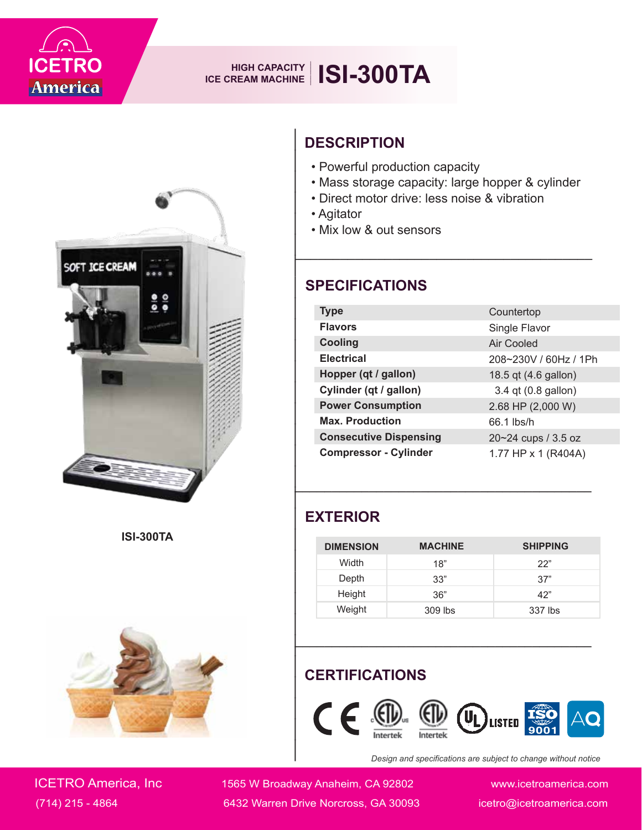

# **ISI-300TA HIGH CAPACITY ICE CREAM MACHINE**



**ISI-300TA**



# **DESCRIPTION**

- Powerful production capacity
- Mass storage capacity: large hopper & cylinder

- Direct motor drive: less noise & vibration
- Agitator
- Mix low & out sensors

| <b>DESCRIPTION</b><br>• Powerful production capacity                                  |                |                                                                |  |  |
|---------------------------------------------------------------------------------------|----------------|----------------------------------------------------------------|--|--|
| • Direct motor drive: less noise & vibration<br>• Agitator<br>• Mix low & out sensors |                | • Mass storage capacity: large hopper & cylinder               |  |  |
| <b>SPECIFICATIONS</b>                                                                 |                |                                                                |  |  |
| <b>Type</b>                                                                           |                | Countertop                                                     |  |  |
| <b>Flavors</b>                                                                        |                | Single Flavor                                                  |  |  |
| <b>Cooling</b>                                                                        |                | <b>Air Cooled</b>                                              |  |  |
| <b>Electrical</b>                                                                     |                | 208~230V / 60Hz / 1Ph                                          |  |  |
| Hopper (qt / gallon)                                                                  |                | 18.5 qt (4.6 gallon)                                           |  |  |
| Cylinder (qt / gallon)                                                                |                | 3.4 qt (0.8 gallon)                                            |  |  |
| <b>Power Consumption</b>                                                              |                | 2.68 HP (2,000 W)                                              |  |  |
| <b>Max. Production</b>                                                                |                | 66.1 lbs/h                                                     |  |  |
| <b>Consecutive Dispensing</b>                                                         |                | 20~24 cups / 3.5 oz                                            |  |  |
| <b>Compressor - Cylinder</b>                                                          |                | 1.77 HP x 1 (R404A)                                            |  |  |
|                                                                                       |                |                                                                |  |  |
| <b>EXTERIOR</b>                                                                       |                |                                                                |  |  |
| <b>DIMENSION</b>                                                                      | <b>MACHINE</b> | <b>SHIPPING</b>                                                |  |  |
| Width                                                                                 | 18"            | 22"                                                            |  |  |
| Depth                                                                                 | 33"            | 37"                                                            |  |  |
| Height                                                                                | 36"            | 42"                                                            |  |  |
| Weight                                                                                | 309 lbs        | 337 lbs                                                        |  |  |
| <b>CERTIFICATIONS</b><br>$(\mathbb{I})$<br>$\epsilon$<br>LISTED                       |                |                                                                |  |  |
|                                                                                       |                | Desian and specifications are subiect to change without notice |  |  |

### **EXTERIOR**

| <b>DIMENSION</b> | <b>MACHINE</b> | <b>SHIPPING</b> |
|------------------|----------------|-----------------|
| Width            | 18"            | 22"             |
| Depth            | 33"            | 37"             |
| Height           | 36"            | 42"             |
| Weight           | 309 lbs        | 337 lbs         |

### **CERTIFICATIONS**



*Design and specifications are subject to change without notice*

ICETRO America, Inc 1565 W Broadway Anaheim, CA 92802 www.icetroamerica.com